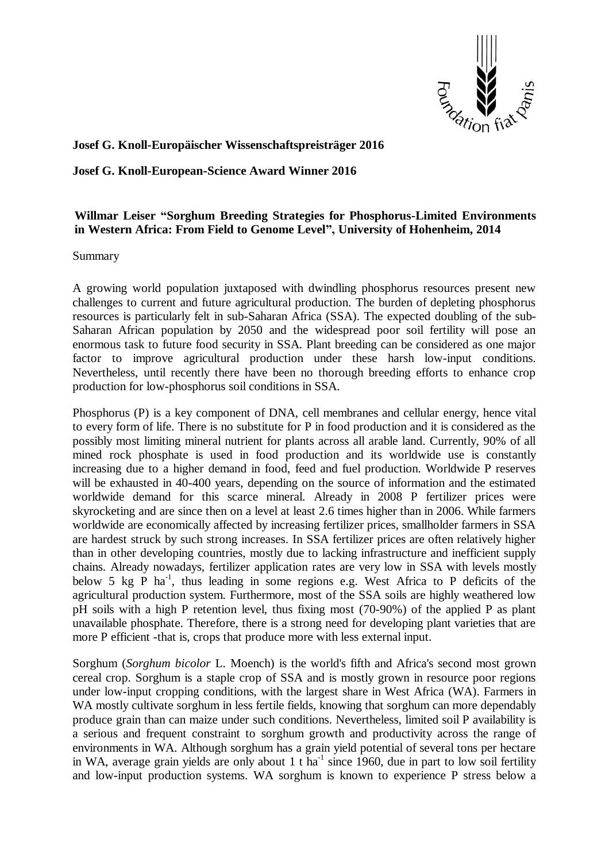

## **Josef G. Knoll-Europäischer Wissenschaftspreisträger 2016**

## **Josef G. Knoll-European-Science Award Winner 2016**

## **Willmar Leiser "Sorghum Breeding Strategies for Phosphorus-Limited Environments in Western Africa: From Field to Genome Level", University of Hohenheim, 2014**

Summary

A growing world population juxtaposed with dwindling phosphorus resources present new challenges to current and future agricultural production. The burden of depleting phosphorus resources is particularly felt in sub-Saharan Africa (SSA). The expected doubling of the sub-Saharan African population by 2050 and the widespread poor soil fertility will pose an enormous task to future food security in SSA. Plant breeding can be considered as one major factor to improve agricultural production under these harsh low-input conditions. Nevertheless, until recently there have been no thorough breeding efforts to enhance crop production for low-phosphorus soil conditions in SSA.

Phosphorus (P) is a key component of DNA, cell membranes and cellular energy, hence vital to every form of life. There is no substitute for P in food production and it is considered as the possibly most limiting mineral nutrient for plants across all arable land. Currently, 90% of all mined rock phosphate is used in food production and its worldwide use is constantly increasing due to a higher demand in food, feed and fuel production. Worldwide P reserves will be exhausted in 40-400 years, depending on the source of information and the estimated worldwide demand for this scarce mineral. Already in 2008 P fertilizer prices were skyrocketing and are since then on a level at least 2.6 times higher than in 2006. While farmers worldwide are economically affected by increasing fertilizer prices, smallholder farmers in SSA are hardest struck by such strong increases. In SSA fertilizer prices are often relatively higher than in other developing countries, mostly due to lacking infrastructure and inefficient supply chains. Already nowadays, fertilizer application rates are very low in SSA with levels mostly below 5 kg P ha<sup>-1</sup>, thus leading in some regions e.g. West Africa to P deficits of the agricultural production system. Furthermore, most of the SSA soils are highly weathered low pH soils with a high P retention level, thus fixing most (70-90%) of the applied P as plant unavailable phosphate. Therefore, there is a strong need for developing plant varieties that are more P efficient -that is, crops that produce more with less external input.

Sorghum (*Sorghum bicolor* L. Moench) is the world's fifth and Africa's second most grown cereal crop. Sorghum is a staple crop of SSA and is mostly grown in resource poor regions under low-input cropping conditions, with the largest share in West Africa (WA). Farmers in WA mostly cultivate sorghum in less fertile fields, knowing that sorghum can more dependably produce grain than can maize under such conditions. Nevertheless, limited soil P availability is a serious and frequent constraint to sorghum growth and productivity across the range of environments in WA. Although sorghum has a grain yield potential of several tons per hectare in WA, average grain yields are only about 1 t ha<sup>-1</sup> since 1960, due in part to low soil fertility and low-input production systems. WA sorghum is known to experience P stress below a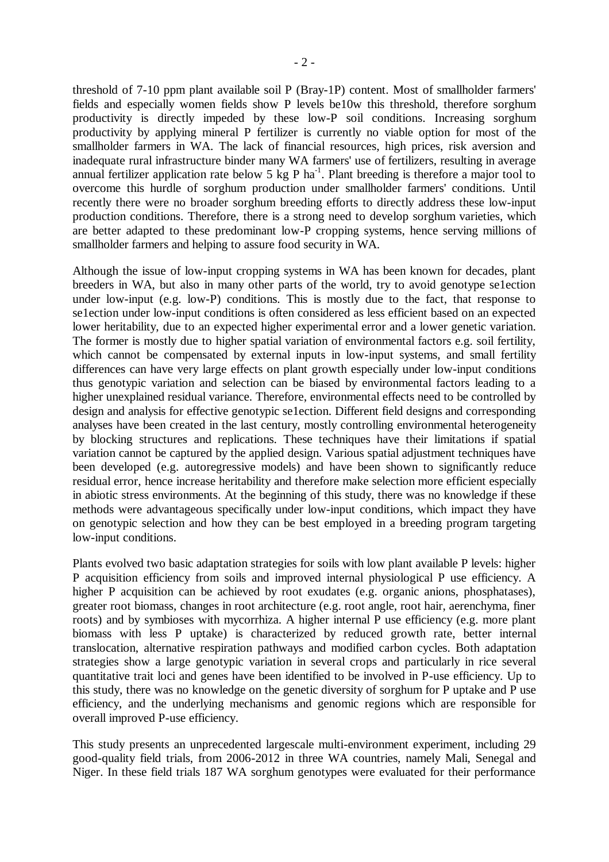threshold of 7-10 ppm plant available soil P (Bray-1P) content. Most of smallholder farmers' fields and especially women fields show P levels be10w this threshold, therefore sorghum productivity is directly impeded by these low-P soil conditions. Increasing sorghum productivity by applying mineral P fertilizer is currently no viable option for most of the smallholder farmers in WA. The lack of financial resources, high prices, risk aversion and inadequate rural infrastructure binder many WA farmers' use of fertilizers, resulting in average annual fertilizer application rate below  $5 \text{ kg P}$  ha<sup>-1</sup>. Plant breeding is therefore a major tool to overcome this hurdle of sorghum production under smallholder farmers' conditions. Until recently there were no broader sorghum breeding efforts to directly address these low-input production conditions. Therefore, there is a strong need to develop sorghum varieties, which are better adapted to these predominant low-P cropping systems, hence serving millions of smallholder farmers and helping to assure food security in WA.

Although the issue of low-input cropping systems in WA has been known for decades, plant breeders in WA, but also in many other parts of the world, try to avoid genotype se1ection under low-input (e.g. low-P) conditions. This is mostly due to the fact, that response to se1ection under low-input conditions is often considered as less efficient based on an expected lower heritability, due to an expected higher experimental error and a lower genetic variation. The former is mostly due to higher spatial variation of environmental factors e.g. soil fertility, which cannot be compensated by external inputs in low-input systems, and small fertility differences can have very large effects on plant growth especially under low-input conditions thus genotypic variation and selection can be biased by environmental factors leading to a higher unexplained residual variance. Therefore, environmental effects need to be controlled by design and analysis for effective genotypic se1ection. Different field designs and corresponding analyses have been created in the last century, mostly controlling environmental heterogeneity by blocking structures and replications. These techniques have their limitations if spatial variation cannot be captured by the applied design. Various spatial adjustment techniques have been developed (e.g. autoregressive models) and have been shown to significantly reduce residual error, hence increase heritability and therefore make selection more efficient especially in abiotic stress environments. At the beginning of this study, there was no knowledge if these methods were advantageous specifically under low-input conditions, which impact they have on genotypic selection and how they can be best employed in a breeding program targeting low-input conditions.

Plants evolved two basic adaptation strategies for soils with low plant available P levels: higher P acquisition efficiency from soils and improved internal physiological P use efficiency. A higher P acquisition can be achieved by root exudates (e.g. organic anions, phosphatases), greater root biomass, changes in root architecture (e.g. root angle, root hair, aerenchyma, finer roots) and by symbioses with mycorrhiza. A higher internal P use efficiency (e.g. more plant biomass with less P uptake) is characterized by reduced growth rate, better internal translocation, alternative respiration pathways and modified carbon cycles. Both adaptation strategies show a large genotypic variation in several crops and particularly in rice several quantitative trait loci and genes have been identified to be involved in P-use efficiency. Up to this study, there was no knowledge on the genetic diversity of sorghum for P uptake and P use efficiency, and the underlying mechanisms and genomic regions which are responsible for overall improved P-use efficiency.

This study presents an unprecedented largescale multi-environment experiment, including 29 good-quality field trials, from 2006-2012 in three WA countries, namely Mali, Senegal and Niger. In these field trials 187 WA sorghum genotypes were evaluated for their performance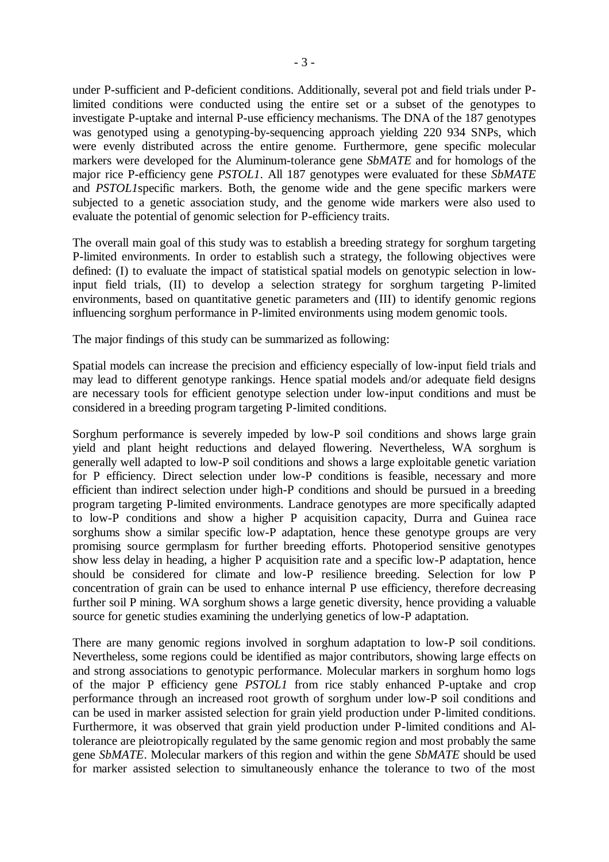under P-sufficient and P-deficient conditions. Additionally, several pot and field trials under Plimited conditions were conducted using the entire set or a subset of the genotypes to investigate P-uptake and internal P-use efficiency mechanisms. The DNA of the 187 genotypes was genotyped using a genotyping-by-sequencing approach yielding 220 934 SNPs, which were evenly distributed across the entire genome. Furthermore, gene specific molecular markers were developed for the Aluminum-tolerance gene *SbMATE* and for homologs of the major rice P-efficiency gene *PSTOL1*. All 187 genotypes were evaluated for these *SbMATE* and *PSTOL1*specific markers. Both, the genome wide and the gene specific markers were subjected to a genetic association study, and the genome wide markers were also used to evaluate the potential of genomic selection for P-efficiency traits.

The overall main goal of this study was to establish a breeding strategy for sorghum targeting P-limited environments. In order to establish such a strategy, the following objectives were defined: (I) to evaluate the impact of statistical spatial models on genotypic selection in lowinput field trials, (II) to develop a selection strategy for sorghum targeting P-limited environments, based on quantitative genetic parameters and (III) to identify genomic regions influencing sorghum performance in P-limited environments using modem genomic tools.

The major findings of this study can be summarized as following:

Spatial models can increase the precision and efficiency especially of low-input field trials and may lead to different genotype rankings. Hence spatial models and/or adequate field designs are necessary tools for efficient genotype selection under low-input conditions and must be considered in a breeding program targeting P-limited conditions.

Sorghum performance is severely impeded by low-P soil conditions and shows large grain yield and plant height reductions and delayed flowering. Nevertheless, WA sorghum is generally well adapted to low-P soil conditions and shows a large exploitable genetic variation for P efficiency. Direct selection under low-P conditions is feasible, necessary and more efficient than indirect selection under high-P conditions and should be pursued in a breeding program targeting P-limited environments. Landrace genotypes are more specifically adapted to low-P conditions and show a higher P acquisition capacity, Durra and Guinea race sorghums show a similar specific low-P adaptation, hence these genotype groups are very promising source germplasm for further breeding efforts. Photoperiod sensitive genotypes show less delay in heading, a higher P acquisition rate and a specific low-P adaptation, hence should be considered for climate and low-P resilience breeding. Selection for low P concentration of grain can be used to enhance internal P use efficiency, therefore decreasing further soil P mining. WA sorghum shows a large genetic diversity, hence providing a valuable source for genetic studies examining the underlying genetics of low-P adaptation.

There are many genomic regions involved in sorghum adaptation to low-P soil conditions. Nevertheless, some regions could be identified as major contributors, showing large effects on and strong associations to genotypic performance. Molecular markers in sorghum homo logs of the major P efficiency gene *PSTOL1* from rice stably enhanced P-uptake and crop performance through an increased root growth of sorghum under low-P soil conditions and can be used in marker assisted selection for grain yield production under P-limited conditions. Furthermore, it was observed that grain yield production under P-limited conditions and Altolerance are pleiotropically regulated by the same genomic region and most probably the same gene *SbMATE*. Molecular markers of this region and within the gene *SbMATE* should be used for marker assisted selection to simultaneously enhance the tolerance to two of the most